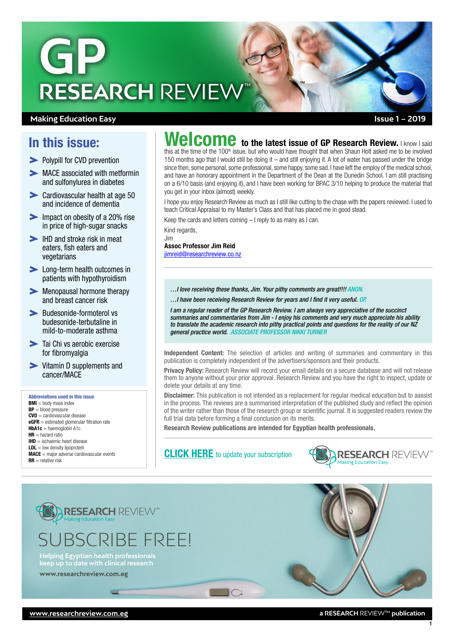

### **Making Education Easy**

# In this issue:

- [Polypill for CVD prevention](#page-1-0)
- MACE associated with metformin [and sulfonylurea in diabetes](#page-1-0)
- [Cardiovascular health at age 50](#page-2-0)  [and incidence of dementia](#page-2-0)
- Impact on obesity of a 20% rise [in price of high-sugar snacks](#page-2-0)
- IHD and stroke risk in meat [eaters, fish eaters and](#page-3-0)  [vegetarians](#page-3-0)
- **Long-term health outcomes in** [patients with hypothyroidism](#page-3-0)
- [Menopausal hormone therapy](#page-3-0)  [and breast cancer risk](#page-3-0)
- **>** Budesonide-formoterol vs budesonide-terbutaline in mild-to-moderate asthma
- $\blacktriangleright$  Tai Chi vs aerobic exercise for fibromyalgia
- Vitamin D supplements and cancer/MACE

#### Abbreviations used in this issue

 $BMI =$  body mass index BP = blood pressure CVD = cardiovascular disease  $eGFR =$  estimated glomerular filtration rate  $HbA1c =$  haemoglobin A1c  $HR =$  hazard ratio IHD = ischaemic heart disease  $LDL = low$  density lipoprotein  $MACE =$  major adverse cardiovascular events  $RR =$  relative risk

# $\sf{Wellcome}$  to the latest issue of GP Research Review. I know I said

TM

this at the time of the 100<sup>th</sup> issue, but who would have thought that when Shaun Holt asked me to be involved 150 months ago that I would still be doing it – and still enjoying it. A lot of water has passed under the bridge since then, some personal, some professional, some happy, some sad. I have left the employ of the medical school, and have an honorary appointment in the Department of the Dean at the Dunedin School. I am still practising on a 6/10 basis (and enjoying it), and I have been working for BPAC 3/10 helping to produce the material that you get in your inbox (almost) weekly.

I hope you enjoy Research Review as much as I still like cutting to the chase with the papers reviewed. I used to teach Critical Appraisal to my Master's Class and that has placed me in good stead.

Keep the cards and letters coming – I reply to as many as I can.

Kind regards, Jim

Assoc Professor Jim Reid [jimreid@researchreview.co.nz](mailto:jimreid@researchreview.co.nz)

- *…I love receiving these thanks, Jim. Your pithy comments are great!!!! ANON.*
- *…I have been receiving Research Review for years and I find it very useful. GP.*

*I am a regular reader of the GP Research Review. I am always very appreciative of the succinct summaries and commentaries from Jim - I enjoy his comments and very much appreciate his ability to translate the academic research into pithy practical points and questions for the reality of our NZ general practice world. ASSOCIATE PROFESSOR NIKKI TURNER*

Independent Content: The selection of articles and writing of summaries and commentary in this publication is completely independent of the advertisers/sponsors and their products.

Privacy Policy: Research Review will record your email details on a secure database and will not release them to anyone without your prior approval. Research Review and you have the right to inspect, update or delete your details at any time.

Disclaimer: This publication is not intended as a replacement for regular medical education but to aassist in the process. The reviews are a summarised interpretation of the published study and reflect the opinion of the writer rather than those of the research group or scientific journal. It is suggested readers review the full trial data before forming a final conclusion on its merits.

Research Review publications are intended for Egyptian health professionals.

**[CLICK HERE](http://www.researchreview.com.eg)** to update your subscription

 $\Box$ 





**keep up to date with clinical research**

**[www.researchreview.com.eg](http://www.researchreview.com.eg)**

1

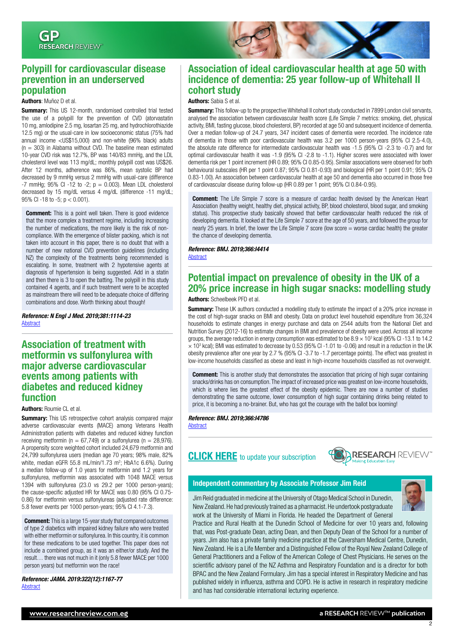

### <span id="page-1-0"></span>Polypill for cardiovascular disease prevention in an underserved population

#### Authors: Muñoz D et al.

**Summary:** This US 12-month, randomised controlled trial tested the use of a polypill for the prevention of CVD (atorvastatin 10 mg, amlodipine 2.5 mg, losartan 25 mg, and hydrochlorothiazide 12.5 mg) or the usual-care in low socioeconomic status (75% had annual income <US\$15,000) and non-white (96% black) adults  $(n = 303)$  in Alabama without CVD. The baseline mean estimated 10-year CVD risk was 12.7%, BP was 140/83 mmHg, and the LDL cholesterol level was 113 mg/dL; monthly polypill cost was US\$26. After 12 months, adherence was 86%, mean systolic BP had decreased by 9 mmHg versus 2 mmHg with usual-care (difference -7 mmHg; 95% CI -12 to -2;  $p = 0.003$ ). Mean LDL cholesterol decreased by 15 mg/dL versus 4 mg/dL (difference -11 mg/dL; 95% CI -18 to -5; p < 0.001).

**Comment:** This is a point well taken. There is good evidence that the more complex a treatment regime, including increasing the number of medications, the more likely is the risk of noncompliance. With the emergence of blister packing, which is not taken into account in this paper, there is no doubt that with a number of new national CVD prevention guidelines (including NZ) the complexity of the treatments being recommended is escalating. In some, treatment with 2 hypotensive agents at diagnosis of hypertension is being suggested. Add in a statin and then there is 3 to open the batting. The polypill in this study contained 4 agents, and if such treatment were to be accepted as mainstream there will need to be adequate choice of differing combinations and dose. Worth thinking about though!

*Reference: N Engl J Med. 2019;381:1114-23* **[Abstract](https://www.nejm.org/doi/full/10.1056/NEJMoa1815359)** 

### Association of treatment with metformin vs sulfonylurea with major adverse cardiovascular events among patients with diabetes and reduced kidney function

#### Authors: Roumie CL et al.

**Summary:** This US retrospective cohort analysis compared major adverse cardiovascular events (MACE) among Veterans Health Administration patients with diabetes and reduced kidney function receiving metformin ( $n = 67.749$ ) or a sulfonylurea ( $n = 28.976$ ). A propensity score weighted cohort included 24,679 metformin and 24,799 sulfonylurea users (median age 70 years; 98% male, 82% white, median eGFR 55.8 mL/min/1.73 m<sup>2</sup>; HbA1c 6.6%). During a median follow-up of 1.0 years for metformin and 1.2 years for sulfonylurea, metformin was associated with 1048 MACE versus 1394 with sulfonylurea (23.0 vs 29.2 per 1000 person-years); the cause-specific adjusted HR for MACE was 0.80 (95% CI 0.75- 0.86) for metformin versus sulfonylureas (adjusted rate difference: 5.8 fewer events per 1000 person-years; 95% CI 4.1-7.3).

**Comment:** This is a large 15-year study that compared outcomes of type 2 diabetics with impaired kidney failure who were treated with either metformin or sulfonylurea. In this country, it is common for these medications to be used together. This paper does not include a combined group, as it was an either/or study. And the result… there was not much in it (only 5.8 fewer MACE per 1000 person years) but metformin won the race!

*Reference: JAMA. 2019:322(12):1167-77* **[Abstract](https://jamanetwork.com/journals/jama/article-abstract/2751397)** 

### Association of ideal cardiovascular health at age 50 with incidence of dementia: 25 year follow-up of Whitehall II cohort study

#### Authors: Sabia S et al.

Summary: This follow-up to the prospective Whitehall II cohort study conducted in 7899 London civil servants, analysed the association between cardiovascular health score (Life Simple 7 metrics: smoking, diet, physical activity, BMI, fasting glucose, blood cholesterol, BP) recorded at age 50 and subsequent incidence of dementia. Over a median follow-up of 24.7 years, 347 incident cases of dementia were recorded. The incidence rate of dementia in those with poor cardiovascular health was 3.2 per 1000 person-years (95% CI 2.5-4.0), the absolute rate difference for intermediate cardiovascular health was -1.5 (95% CI -2.3 to -0.7) and for optimal cardiovascular health it was -1.9 (95% CI -2.8 to -1.1). Higher scores were associated with lower dementia risk per 1 point increment (HR 0.89; 95% CI 0.85-0.95). Similar associations were observed for both behavioural subscales (HR per 1 point 0.87; 95% CI 0.81-0.93) and biological (HR per 1 point 0.91; 95% CI 0.83-1.00). An association between cardiovascular health at age 50 and dementia also occurred in those free of cardiovascular disease during follow-up (HR 0.89 per 1 point; 95% CI 0.84-0.95).

**Comment:** The Life Simple 7 score is a measure of cardiac health devised by the American Heart Association (healthy weight, healthy diet, physical activity, BP, blood cholesterol, blood sugar, and smoking status). This prospective study basically showed that better cardiovascular health reduced the risk of developing dementia. It looked at the Life Simple 7 score at the age of 50 years, and followed the group for nearly 25 years. In brief, the lower the Life Simple 7 score (low score = worse cardiac health) the greater the chance of developing dementia.

#### *Reference: BMJ. 2019;366:I4414* **[Abstract](https://www.bmj.com/content/366/bmj.l4414)**

# Potential impact on prevalence of obesity in the UK of a 20% price increase in high sugar snacks: modelling study

#### Authors: Scheelbeek PFD et al.

**Summary:** These UK authors conducted a modelling study to estimate the impact of a 20% price increase in the cost of high-sugar snacks on BMI and obesity. Data on product level household expenditure from 36,324 households to estimate changes in energy purchase and data on 2544 adults from the National Diet and Nutrition Survey (2012-16) to estimate changes in BMI and prevalence of obesity were used. Across all income groups, the average reduction in energy consumption was estimated to be  $8.9 \times 10^3$  kcal (95% CI-13.1 to 14.2  $\times$  10<sup>3</sup> kcal); BMI was estimated to decrease by 0.53 (95% CI -1.01 to -0.06) and result in a reduction in the UK obesity prevalence after one year by 2.7 % (95% CI -3.7 to -1.7 percentage points). The effect was greatest in low-income households classified as obese and least in high-income households classified as not overweight.

**Comment:** This is another study that demonstrates the association that pricing of high sugar containing snacks/drinks has on consumption. The impact of increased price was greatest on low-income households, which is where lies the greatest effect of the obesity epidemic. There are now a number of studies demonstrating the same outcome, lower consumption of high sugar containing drinks being related to price, it is becoming a no-brainer. But, who has got the courage with the ballot box looming!

*Reference: BMJ. 2019;366:I4786*

**[Abstract](https://www.bmj.com/content/366/bmj.l4786)** 

# **[CLICK HERE](http://www.researchreview.com.eg)** to update your subscription



### Independent commentary by Associate Professor Jim Reid



Jim Reid graduated in medicine at the University of Otago Medical School in Dunedin, New Zealand. He had previously trained as a pharmacist. He undertook postgraduate work at the University of Miami in Florida. He headed the Department of General

Practice and Rural Health at the Dunedin School of Medicine for over 10 years and, following that, was Post-graduate Dean, acting Dean, and then Deputy Dean of the School for a number of years. Jim also has a private family medicine practice at the Caversham Medical Centre, Dunedin, New Zealand. He is a Life Member and a Distinguished Fellow of the Royal New Zealand College of General Practitioners and a Fellow of the American College of Chest Physicians. He serves on the scientific advisory panel of the NZ Asthma and Respiratory Foundation and is a director for both BPAC and the New Zealand Formulary. Jim has a special interest in Respiratory Medicine and has published widely in influenza, asthma and COPD. He is active in research in respiratory medicine and has had considerable international lecturing experience.

2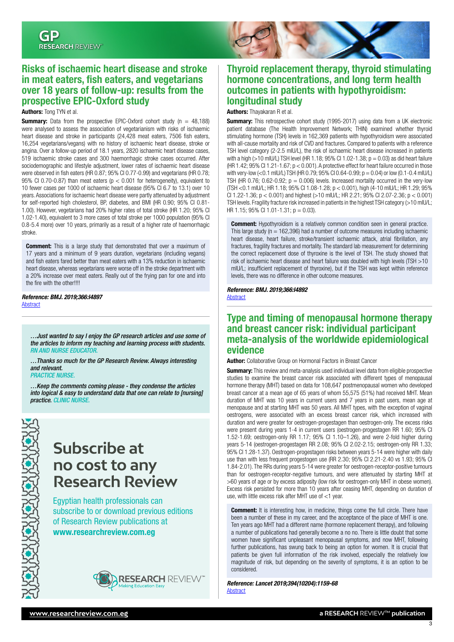# <span id="page-2-0"></span>Risks of ischaemic heart disease and stroke in meat eaters, fish eaters, and vegetarians over 18 years of follow-up: results from the prospective EPIC-Oxford study

#### Authors: Tong TYN et al.

**Summary:** Data from the prospective EPIC-Oxford cohort study  $(n = 48,188)$ were analysed to assess the association of vegetarianism with risks of ischaemic heart disease and stroke in participants (24,428 meat eaters, 7506 fish eaters, 16,254 vegetarians/vegans) with no history of ischaemic heart disease, stroke or angina. Over a follow-up period of 18.1 years, 2820 ischaemic heart disease cases, 519 ischaemic stroke cases and 300 haemorrhagic stroke cases occurred. After sociodemographic and lifestyle adjustment, lower rates of ischaemic heart disease were observed in fish eaters (HR 0.87; 95% CI 0.77-0.99) and vegetarians (HR 0.78; 95% CI 0.70-0.87) than meat eaters ( $p < 0.001$  for heterogeneity), equivalent to 10 fewer cases per 1000 of ischaemic heart disease (95% CI 6.7 to 13.1) over 10 years. Associations for ischaemic heart disease were partly attenuated by adjustment for self-reported high cholesterol, BP, diabetes, and BMI (HR 0.90; 95% CI 0.81- 1.00). However, vegetarians had 20% higher rates of total stroke (HR 1.20; 95% CI 1.02-1.40), equivalent to 3 more cases of total stroke per 1000 population (95% CI 0.8-5.4 more) over 10 years, primarily as a result of a higher rate of haemorrhagic stroke.

**Comment:** This is a large study that demonstrated that over a maximum of 17 years and a minimum of 9 years duration, vegetarians (including vegans) and fish eaters fared better than meat eaters with a 13% reduction in ischaemic heart disease, whereas vegetarians were worse off in the stroke department with a 20% increase over meat eaters. Really out of the frying pan for one and into the fire with the other!!!!

*Reference: BMJ. 2019;366:I4897* **[Abstract](https://www.bmj.com/content/366/bmj.l4897)** 

*…Just wanted to say I enjoy the GP research articles and use some of the articles to inform my teaching and learning process with students. RN AND NURSE EDUCATO* 

*…Thanks so much for the GP Research Review. Always interesting and relevant.* 

*PRACTICE NURSE.*

*…Keep the comments coming please - they condense the articles into logical & easy to understand data that one can relate to [nursing] practice. CLINIC NURSE.*

> **Subscribe at no cost to any Research Review**

Egyptian health professionals can subscribe to or download previous editions of Research Review publications at [www.researchreview.com.eg](http://www.researchreview.com.eg)





### Thyroid replacement therapy, thyroid stimulating hormone concentrations, and long term health outcomes in patients with hypothyroidism: longitudinal study

#### Authors: Thayakaran R et al.

**Summary:** This retrospective cohort study (1995-2017) using data from a UK electronic patient database (The Health Improvement Network; THIN) examined whether thyroid stimulating hormone (TSH) levels in 162,369 patients with hypothyroidism were associated with all-cause mortality and risk of CVD and fractures. Compared to patients with a reference TSH level category (2-2.5 mIU/L), the risk of ischaemic heart disease increased in patients with a high (>10 mIU/L) TSH level (HR 1.18;  $95\%$  CI 1.02-1.38; p = 0.03) as did heart failure (HR 1.42; 95% CI 1.21-1.67; p < 0.001). A protective effect for heart failure occurred in those with very-low (<0.1 mIU/L) TSH (HR 0.79; 95% CI 0.64-0.99;  $p = 0.04$ ) or low (0.1-0.4 mIU/L) TSH (HR 0.76; 0.62-0.92;  $p = 0.006$ ) levels. Increased mortality occurred in the very-low (TSH <0.1 mIU/L; HR 1.18; 95% CI 1.08-1.28; p < 0.001), high (4-10 mIU/L; HR 1.29; 95% CI 1.22-1.36; p < 0.001) and highest (>10 mIU/L; HR 2.21; 95% CI 2.07-2.36; p < 0.001) TSH levels. Fragility fracture risk increased in patients in the highest TSH category (>10 mIU/L; HR 1.15; 95% CI 1.01-1.31; p = 0.03).

**Comment:** Hypothyroidism is a relatively common condition seen in general practice. This large study ( $n = 162,396$ ) had a number of outcome measures including ischaemic heart disease, heart failure, stroke/transient ischaemic attack, atrial fibrillation, any fractures, fragility fractures and mortality. The standard lab measurement for determining the correct replacement dose of thyroxine is the level of TSH. The study showed that risk of ischaemic heart disease and heart failure was doubled with high levels (TSH >10 mIU/L; insufficient replacement of thyroxine), but if the TSH was kept within reference levels, there was no difference in other outcome measures.

*Reference: BMJ. 2019;366:I4892* [Abstract](https://www.bmj.com/content/366/bmj.l4892)

# Type and timing of menopausal hormone therapy and breast cancer risk: individual participant meta-analysis of the worldwide epidemiological evidence

Author: Collaborative Group on Hormonal Factors in Breast Cancer

**Summary:** This review and meta-analysis used individual level data from eligible prospective studies to examine the breast cancer risk associated with different types of menopausal hormone therapy (MHT) based on data for 108,647 postmenopausal women who developed breast cancer at a mean age of 65 years of whom 55,575 (51%) had received MHT. Mean duration of MHT was 10 years in current users and 7 years in past users, mean age at menopause and at starting MHT was 50 years. All MHT types, with the exception of vaginal oestrogens, were associated with an excess breast cancer risk, which increased with duration and were greater for oestrogen-progestagen than oestrogen-only. The excess risks were present during years 1-4 in current users (oestrogen-progestagen RR 1.60; 95% CI 1.52-1.69; oestrogen-only RR 1.17; 95% CI 1.10–1.26), and were 2-fold higher during years 5-14 (oestrogen-progestagen RR 2.08; 95% CI 2.02-2.15; oestrogen-only RR 1.33; 95% CI 1.28-1.37). Oestrogen-progestagen risks between years 5-14 were higher with daily use than with less frequent progestogen use (RR 2.30; 95% CI 2.21-2.40 vs 1.93; 95% CI 1.84-2.01). The RRs during years 5-14 were greater for oestrogen-receptor-positive tumours than for oestrogen-receptor-negative tumours, and were attenuated by starting MHT at >60 years of age or by excess adiposity (low risk for oestrogen-only MHT in obese women). Excess risk persisted for more than 10 years after ceasing MHT, depending on duration of use, with little excess risk after MHT use of <1 year.

**Comment:** It is interesting how, in medicine, things come the full circle. There have been a number of these in my career, and the acceptance of the place of MHT is one. Ten years ago MHT had a different name (hormone replacement therapy), and following a number of publications had generally become a no no. There is little doubt that some women have significant unpleasant menopausal symptoms, and now MHT, following further publications, has swung back to being an option for women. It is crucial that patients be given full information of the risk involved, especially the relatively low magnitude of risk, but depending on the severity of symptoms, it is an option to be considered.

*Reference: Lancet 2019;394(10204):1159-68* **[Abstract](https://www.thelancet.com/journals/lancet/article/PIIS0140-6736(19)31709-X/fulltext)** 

3